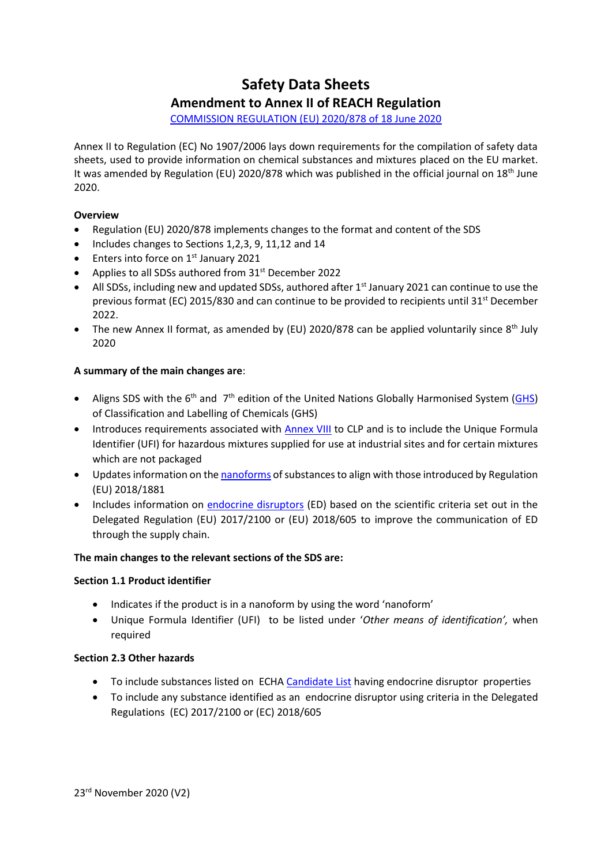# **Safety Data Sheets Amendment to Annex II of REACH Regulation**

[COMMISSION REGULATION \(EU\) 2020/878 of 18 June 2020](https://eur-lex.europa.eu/legal-content/EN/TXT/PDF/?uri=CELEX:32020R0878&qid=1593160010112&from=EN)

Annex II to Regulation (EC) No 1907/2006 lays down requirements for the compilation of safety data sheets, used to provide information on chemical substances and mixtures placed on the EU market. It was amended by Regulation (EU) 2020/878 which was published in the official journal on 18<sup>th</sup> June 2020.

# **Overview**

- Regulation (EU) 2020/878 implements changes to the format and content of the SDS
- Includes changes to Sections 1, 2, 3, 9, 11, 12 and 14
- $\bullet$  Enters into force on 1<sup>st</sup> January 2021
- Applies to all SDSs authored from 31<sup>st</sup> December 2022
- $\bullet$  All SDSs, including new and updated SDSs, authored after 1st January 2021 can continue to use the previous format (EC) 2015/830 and can continue to be provided to recipients until 31<sup>st</sup> December 2022.
- The new Annex II format, as amended by (EU) 2020/878 can be applied voluntarily since  $8<sup>th</sup>$  July 2020

# **A summary of the main changes are**:

- Aligns SDS with the 6<sup>th</sup> and 7<sup>th</sup> edition of the United Nations Globally Harmonised System [\(GHS\)](http://www.unece.org/trans/danger/publi/ghs/ghs_welcome_e.html) of Classification and Labelling of Chemicals (GHS)
- Introduces requirements associated wit[h Annex VIII](https://poisoncentres.echa.europa.eu/?utm_source=echa.europa.eu&utm_medium=display&utm_campaign=customer-insight&utm_content=homepage-it-tools) to CLP and is to include the Unique Formula Identifier (UFI) for hazardous mixtures supplied for use at industrial sites and for certain mixtures which are not packaged
- Updates information on the [nanoforms](https://echa.europa.eu/regulations/nanomaterials) of substances to align with those introduced by Regulation (EU) 2018/1881
- Includes information on [endocrine disruptors](https://echa.europa.eu/hot-topics/endocrine-disruptors) (ED) based on the scientific criteria set out in the Delegated Regulation (EU) 2017/2100 or (EU) 2018/605 to improve the communication of ED through the supply chain.

# **The main changes to the relevant sections of the SDS are:**

# **Section 1.1 Product identifier**

- Indicates if the product is in a nanoform by using the word 'nanoform'
- Unique Formula Identifier (UFI) to be listed under '*Other means of identification',* when required

# **Section 2.3 Other hazards**

- To include substances listed on ECH[A Candidate List](https://echa.europa.eu/candidate-list-table) having endocrine disruptor properties
- To include any substance identified as an endocrine disruptor using criteria in the Delegated Regulations (EC) 2017/2100 or (EC) 2018/605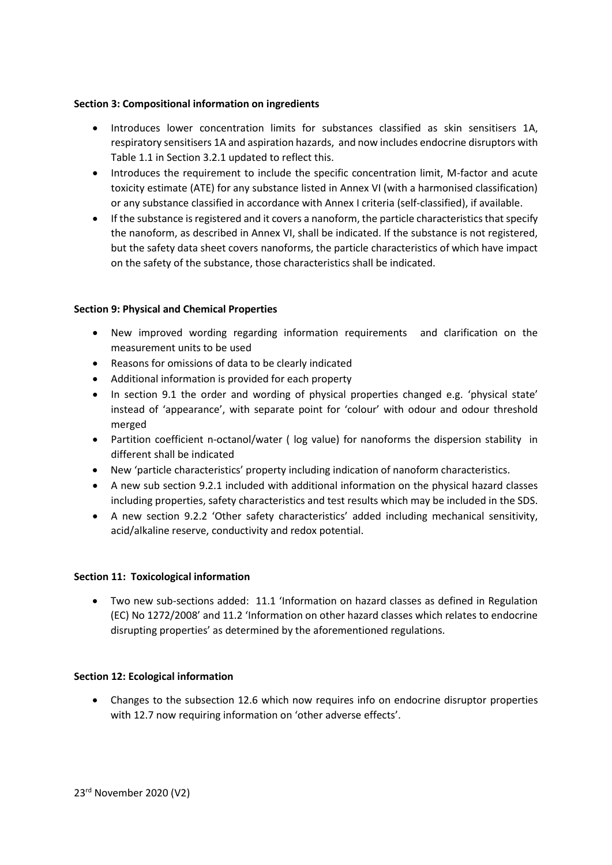## **Section 3: Compositional information on ingredients**

- Introduces lower concentration limits for substances classified as skin sensitisers 1A, respiratory sensitisers 1A and aspiration hazards, and now includes endocrine disruptors with Table 1.1 in Section 3.2.1 updated to reflect this.
- Introduces the requirement to include the specific concentration limit, M-factor and acute toxicity estimate (ATE) for any substance listed in Annex VI (with a harmonised classification) or any substance classified in accordance with Annex I criteria (self-classified), if available.
- If the substance is registered and it covers a nanoform, the particle characteristics that specify the nanoform, as described in Annex VI, shall be indicated. If the substance is not registered, but the safety data sheet covers nanoforms, the particle characteristics of which have impact on the safety of the substance, those characteristics shall be indicated.

# **Section 9: Physical and Chemical Properties**

- New improved wording regarding information requirements and clarification on the measurement units to be used
- Reasons for omissions of data to be clearly indicated
- Additional information is provided for each property
- In section 9.1 the order and wording of physical properties changed e.g. 'physical state' instead of 'appearance', with separate point for 'colour' with odour and odour threshold merged
- Partition coefficient n-octanol/water ( log value) for nanoforms the dispersion stability in different shall be indicated
- New 'particle characteristics' property including indication of nanoform characteristics.
- A new sub section 9.2.1 included with additional information on the physical hazard classes including properties, safety characteristics and test results which may be included in the SDS.
- A new section 9.2.2 'Other safety characteristics' added including mechanical sensitivity, acid/alkaline reserve, conductivity and redox potential.

## **Section 11: Toxicological information**

 Two new sub-sections added: 11.1 'Information on hazard classes as defined in Regulation (EC) No 1272/2008' and 11.2 'Information on other hazard classes which relates to endocrine disrupting properties' as determined by the aforementioned regulations.

## **Section 12: Ecological information**

 Changes to the subsection 12.6 which now requires info on endocrine disruptor properties with 12.7 now requiring information on 'other adverse effects'.